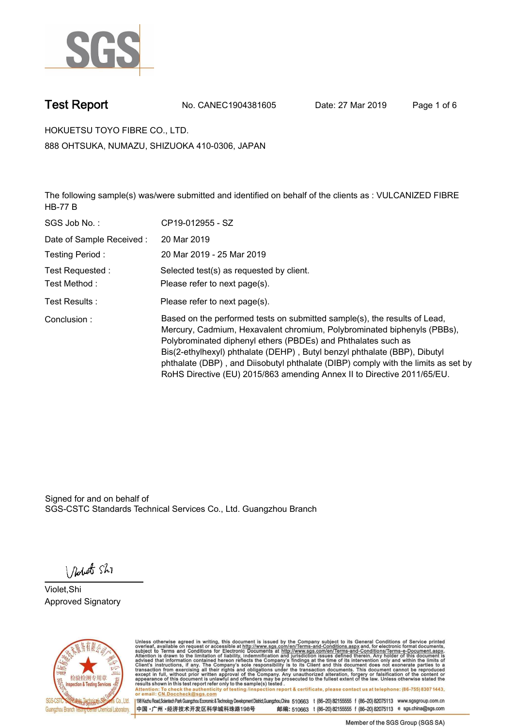

**Test Report. No. CANEC1904381605 Date: 27 Mar 2019. Page 1 of 6.**

**HOKUETSU TOYO FIBRE CO., LTD.. 888 OHTSUKA, NUMAZU, SHIZUOKA 410-0306, JAPAN**

**The following sample(s) was/were submitted and identified on behalf of the clients as : VULCANIZED FIBRE HB-77 B.**

| SGS Job No.:             | CP19-012955 - SZ                                                                                                                                                                                                                                                                                                                                                                                                                                                   |
|--------------------------|--------------------------------------------------------------------------------------------------------------------------------------------------------------------------------------------------------------------------------------------------------------------------------------------------------------------------------------------------------------------------------------------------------------------------------------------------------------------|
| Date of Sample Received: | 20 Mar 2019                                                                                                                                                                                                                                                                                                                                                                                                                                                        |
| Testing Period:          | 20 Mar 2019 - 25 Mar 2019                                                                                                                                                                                                                                                                                                                                                                                                                                          |
| Test Requested :         | Selected test(s) as requested by client.                                                                                                                                                                                                                                                                                                                                                                                                                           |
| Test Method:             | Please refer to next page(s).                                                                                                                                                                                                                                                                                                                                                                                                                                      |
| Test Results :           | Please refer to next page(s).                                                                                                                                                                                                                                                                                                                                                                                                                                      |
| Conclusion:              | Based on the performed tests on submitted sample(s), the results of Lead,<br>Mercury, Cadmium, Hexavalent chromium, Polybrominated biphenyls (PBBs),<br>Polybrominated diphenyl ethers (PBDEs) and Phthalates such as<br>Bis(2-ethylhexyl) phthalate (DEHP), Butyl benzyl phthalate (BBP), Dibutyl<br>phthalate (DBP), and Diisobutyl phthalate (DIBP) comply with the limits as set by<br>RoHS Directive (EU) 2015/863 amending Annex II to Directive 2011/65/EU. |

Signed for and on behalf of SGS-CSTC Standards Technical Services Co., Ltd. Guangzhou Branch.

Nobet Shi

**Violet,Shi. Approved Signatory.**



Unless otherwise agreed in writing, this document is issued by the Company subject to its General Conditions of Service printed overleaf, available on request or accessible at http://www.sgs.com/en/Terms-and-Conditions.asp Attention: To check the authenticity of testing /inspection report & certificate, please contact us at telephone: (86-755) 8307 1443,<br>or email: CN.Doccheck@sgs.com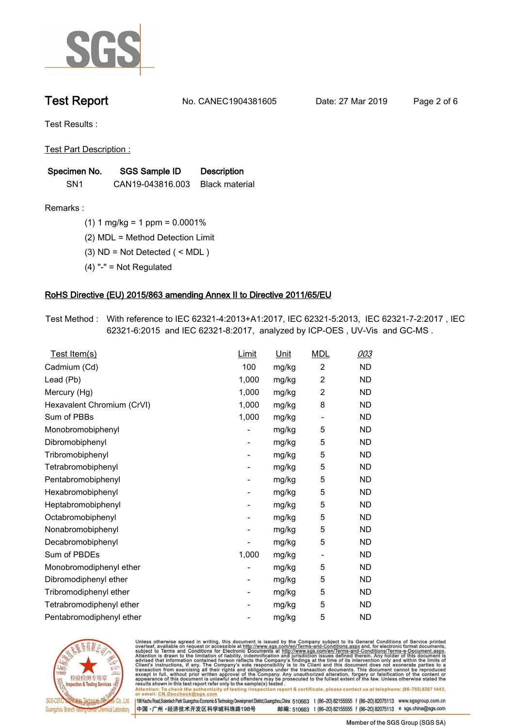

**Test Report. No. CANEC1904381605 Date: 27 Mar 2019. Page 2 of 6.**

**Test Results :.**

**Test Part Description :.**

| Specimen No.    | <b>SGS Sample ID</b>            | <b>Description</b> |  |
|-----------------|---------------------------------|--------------------|--|
| SN <sub>1</sub> | CAN19-043816.003 Black material |                    |  |

**Remarks :.(1) 1 mg/kg = 1 ppm = 0.0001%.**

**(2) MDL = Method Detection Limit.**

**(3) ND = Not Detected ( < MDL ).**

**(4) "-" = Not Regulated.**

### **RoHS Directive (EU) 2015/863 amending Annex II to Directive 2011/65/EU.**

**Test Method :. With reference to IEC 62321-4:2013+A1:2017, IEC 62321-5:2013, IEC 62321-7-2:2017 , IEC 62321-6:2015 and IEC 62321-8:2017, analyzed by ICP-OES , UV-Vis and GC-MS ..**

| Test Item(s)               | <u>Limit</u> | <u>Unit</u> | <b>MDL</b>               | 003       |
|----------------------------|--------------|-------------|--------------------------|-----------|
| Cadmium (Cd)               | 100          | mg/kg       | $\overline{2}$           | <b>ND</b> |
| Lead (Pb)                  | 1,000        | mg/kg       | $\overline{c}$           | <b>ND</b> |
| Mercury (Hg)               | 1,000        | mg/kg       | 2                        | <b>ND</b> |
| Hexavalent Chromium (CrVI) | 1,000        | mg/kg       | 8                        | ND        |
| Sum of PBBs                | 1,000        | mg/kg       | $\overline{\phantom{a}}$ | <b>ND</b> |
| Monobromobiphenyl          |              | mg/kg       | 5                        | <b>ND</b> |
| Dibromobiphenyl            | -            | mg/kg       | 5                        | <b>ND</b> |
| Tribromobiphenyl           |              | mg/kg       | 5                        | <b>ND</b> |
| Tetrabromobiphenyl         | -            | mg/kg       | 5                        | <b>ND</b> |
| Pentabromobiphenyl         | -            | mg/kg       | 5                        | <b>ND</b> |
| Hexabromobiphenyl          |              | mg/kg       | 5                        | <b>ND</b> |
| Heptabromobiphenyl         | -            | mg/kg       | 5                        | <b>ND</b> |
| Octabromobiphenyl          |              | mg/kg       | 5                        | <b>ND</b> |
| Nonabromobiphenyl          |              | mg/kg       | 5                        | <b>ND</b> |
| Decabromobiphenyl          |              | mg/kg       | 5                        | <b>ND</b> |
| Sum of PBDEs               | 1,000        | mg/kg       | $\overline{\phantom{a}}$ | <b>ND</b> |
| Monobromodiphenyl ether    |              | mg/kg       | 5                        | <b>ND</b> |
| Dibromodiphenyl ether      | ۰.           | mg/kg       | 5                        | <b>ND</b> |
| Tribromodiphenyl ether     | -            | mg/kg       | 5                        | <b>ND</b> |
| Tetrabromodiphenyl ether   |              | mg/kg       | 5                        | <b>ND</b> |
| Pentabromodiphenyl ether   |              | mg/kg       | 5                        | <b>ND</b> |
|                            |              |             |                          |           |



Unless otherwise agreed in writing, this document is issued by the Company subject to its General Conditions of Service printed<br>overleaf, available on request or accessible at http://www.sgs.com/en/Terms-and-Conditions.asp

Attention: To check the authenticity of testing /inspection report & certificate, please contact us at telephone: (86-755) 8307 1443,<br>or email: CN.Doccheck@sgs.com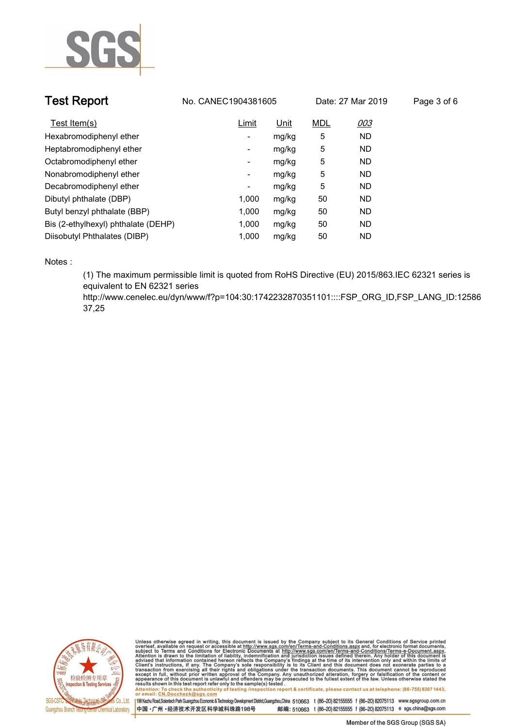

| <b>Test Report</b>                  | No. CANEC1904381605 |       | Date: 27 Mar 2019 |           | Page 3 of 6 |
|-------------------------------------|---------------------|-------|-------------------|-----------|-------------|
| Test Item(s)                        | Limit               | Unit  | <b>MDL</b>        | 003       |             |
| Hexabromodiphenyl ether             | ٠                   | mg/kg | 5                 | <b>ND</b> |             |
| Heptabromodiphenyl ether            | ٠                   | mg/kg | 5                 | <b>ND</b> |             |
| Octabromodiphenyl ether             | ٠                   | mg/kg | 5                 | <b>ND</b> |             |
| Nonabromodiphenyl ether             | -                   | mg/kg | 5                 | <b>ND</b> |             |
| Decabromodiphenyl ether             | ٠                   | mg/kg | 5                 | <b>ND</b> |             |
| Dibutyl phthalate (DBP)             | 1.000               | mg/kg | 50                | <b>ND</b> |             |
| Butyl benzyl phthalate (BBP)        | 1,000               | mg/kg | 50                | <b>ND</b> |             |
| Bis (2-ethylhexyl) phthalate (DEHP) | 1.000               | mg/kg | 50                | <b>ND</b> |             |
| Diisobutyl Phthalates (DIBP)        | 1.000               | mg/kg | 50                | <b>ND</b> |             |

**Notes :.**

**(1) The maximum permissible limit is quoted from RoHS Directive (EU) 2015/863.IEC 62321 series is equivalent to EN 62321 series** 

**http://www.cenelec.eu/dyn/www/f?p=104:30:1742232870351101::::FSP\_ORG\_ID,FSP\_LANG\_ID:12586 37,25.**



Unless otherwise agreed in writing, this document is issued by the Company subject to its General Conditions of Service printed<br>overleaf, available on request or accessible at http://www.sgs.com/en/Terms-and-Conditions.as Manus and The Check the authenticity of testing /inspection report & certificate, please contact us at telephone: (86-755) 8307 1443,

or email: CN.Doccheck@sgs.com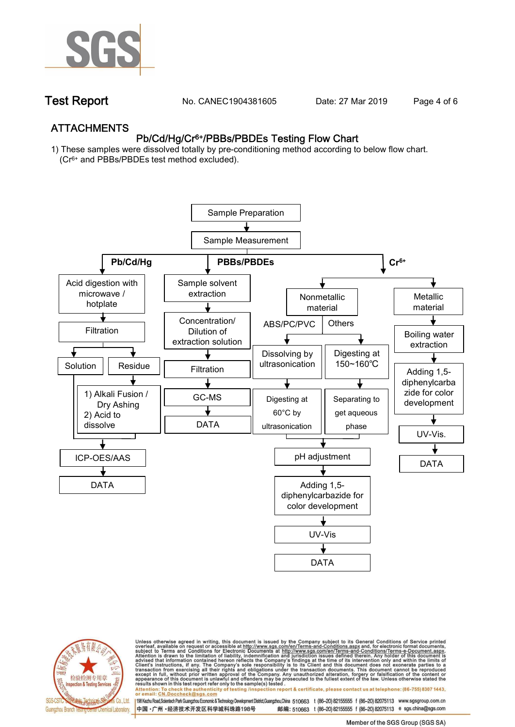

**Test Report. No. CANEC1904381605** Date: 27 Mar 2019 Page 4 of 6

## **ATTACHMENTS Pb/Cd/Hg/Cr6+/PBBs/PBDEs Testing Flow Chart**

**1) These samples were dissolved totally by pre-conditioning method according to below flow chart. (Cr6+ and PBBs/PBDEs test method excluded).**





Unless otherwise agreed in writing, this document is issued by the Company subject to its General Conditions of Service printed<br>overleaf, available on request or accessible at http://www.sgs.com/en/Terms-and-Conditions.asp

results shown in this test report refer only to the sample(s) tested .<br>Attention: To check the authenticity of testing /inspection report & certificate, please contact us at telephone: (86-755) 8307 1443,<br>or email: <u>CN.Doc</u>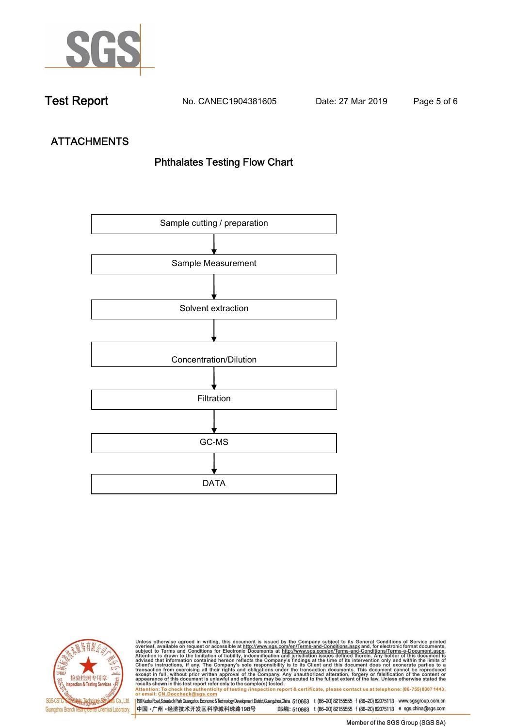

**Test Report. No. CANEC1904381605 Date: 27 Mar 2019. Page 5 of 6.**

# **ATTACHMENTS Phthalates Testing Flow Chart**





Unless otherwise agreed in writing, this document is issued by the Company subject to its General Conditions of Service printed<br>overleaf, available on request or accessible at http://www.sgs.com/en/Terms-and-Conditions.as

results shown in this test report refer only to the sample(s) tested .<br>Attention: To check the authenticity of testing /inspection report & certificate, please contact us at telephone: (86-755) 8307 1443,<br>or email: <u>CN.Doc</u>